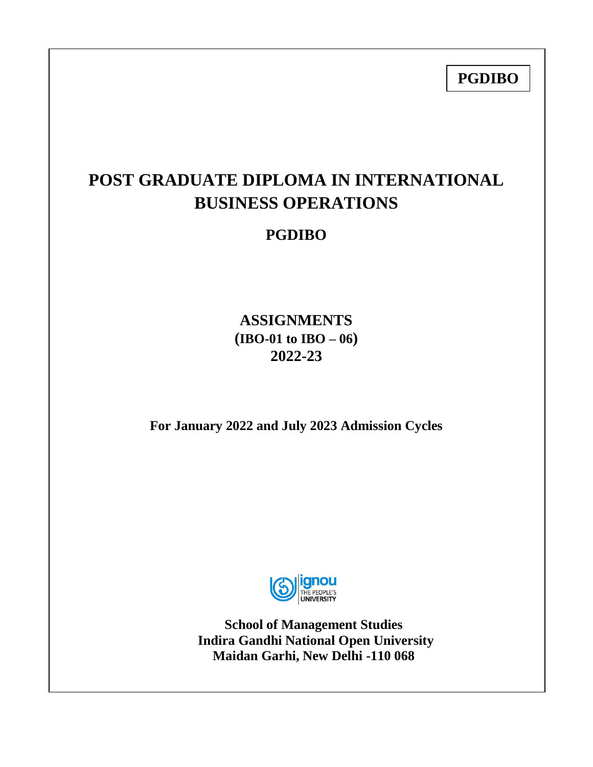**PGDIBO**

# **POST GRADUATE DIPLOMA IN INTERNATIONAL BUSINESS OPERATIONS**

## **PGDIBO**

**ASSIGNMENTS (IBO-01 to IBO – 06) 2022-23**

**For January 2022 and July 2023 Admission Cycles**



**School of Management Studies Indira Gandhi National Open University Maidan Garhi, New Delhi -110 068**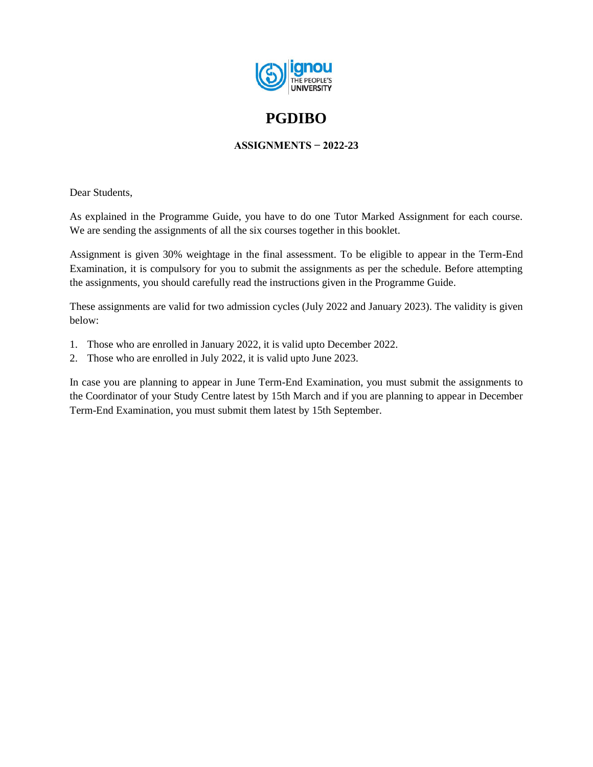

## **PGDIBO**

## **ASSIGNMENTS − 2022-23**

Dear Students,

As explained in the Programme Guide, you have to do one Tutor Marked Assignment for each course. We are sending the assignments of all the six courses together in this booklet.

Assignment is given 30% weightage in the final assessment. To be eligible to appear in the Term-End Examination, it is compulsory for you to submit the assignments as per the schedule. Before attempting the assignments, you should carefully read the instructions given in the Programme Guide.

These assignments are valid for two admission cycles (July 2022 and January 2023). The validity is given below:

- 1. Those who are enrolled in January 2022, it is valid upto December 2022.
- 2. Those who are enrolled in July 2022, it is valid upto June 2023.

In case you are planning to appear in June Term-End Examination, you must submit the assignments to the Coordinator of your Study Centre latest by 15th March and if you are planning to appear in December Term-End Examination, you must submit them latest by 15th September.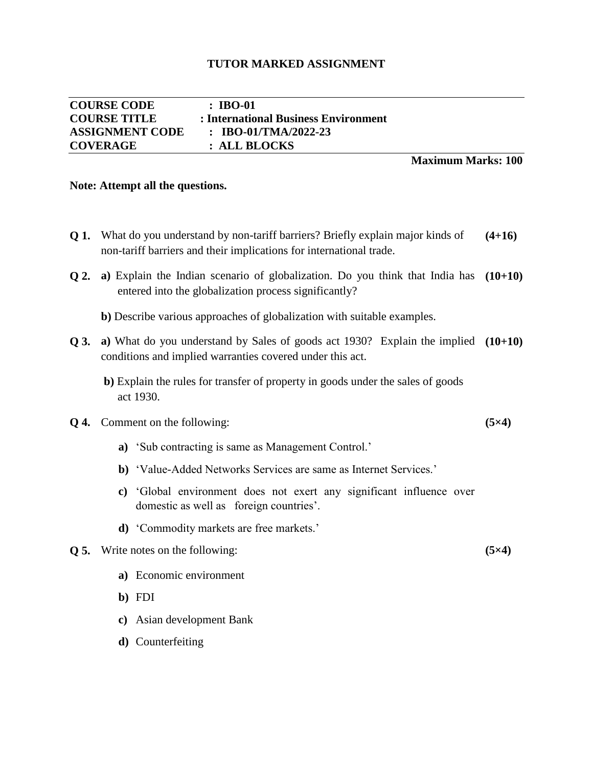| <b>COURSE CODE</b>     | $\pm$ IBO-01                         |
|------------------------|--------------------------------------|
| <b>COURSE TITLE</b>    | : International Business Environment |
| <b>ASSIGNMENT CODE</b> | : IBO-01/TMA/2022-23                 |
| <b>COVERAGE</b>        | : ALL BLOCKS                         |

## **Maximum Marks: 100**

**(5×4)** 

**(5×4)**

#### **Note: Attempt all the questions.**

- **Q 1.** What do you understand by non-tariff barriers? Briefly explain major kinds of non-tariff barriers and their implications for international trade. **(4+16)**
- **Q 2. a)** Explain the Indian scenario of globalization. Do you think that India has **(10+10)** entered into the globalization process significantly?
	- **b)** Describe various approaches of globalization with suitable examples.
- **Q 3.** a) What do you understand by Sales of goods act 1930? Explain the implied (10+10) conditions and implied warranties covered under this act.
	- **b)** Explain the rules for transfer of property in goods under the sales of goods act 1930.

#### **Q 4.** Comment on the following:

- **a)** "Sub contracting is same as Management Control."
- **b**) 'Value-Added Networks Services are same as Internet Services.'
- **c)** "Global environment does not exert any significant influence over domestic as well as foreign countries'.
- **d)** "Commodity markets are free markets."

#### **Q 5.** Write notes on the following:

- **a)** Economic environment
- **b)** FDI
- **c)** Asian development Bank
- **d)** Counterfeiting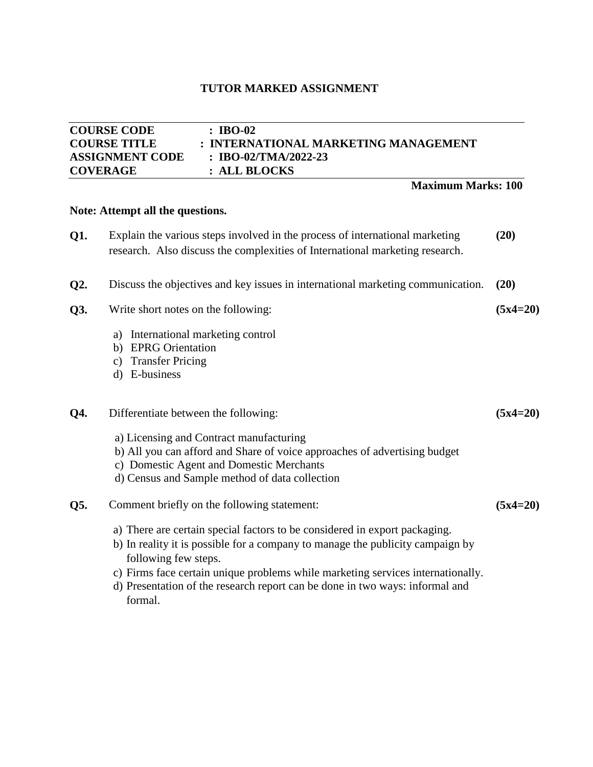## **COURSE CODE : IBO-02 COURSE TITLE : INTERNATIONAL MARKETING MANAGEMENT ASSIGNMENT CODE : IBO-02/TMA/2022-23 COVERAGE : ALL BLOCKS Maximum Marks: 100 Note: Attempt all the questions. Q1.** Explain the various steps involved in the process of international marketing research. Also discuss the complexities of International marketing research. **(20) Q2.** Discuss the objectives and key issues in international marketing communication. **(20) Q3.** Write short notes on the following: a) International marketing control b) EPRG Orientation c) Transfer Pricing d) E-business **(5x4=20) Q4.** Differentiate between the following: a) Licensing and Contract manufacturing b) All you can afford and Share of voice approaches of advertising budget c) Domestic Agent and Domestic Merchants d) Census and Sample method of data collection **(5x4=20) Q5.** Comment briefly on the following statement: a) There are certain special factors to be considered in export packaging. b) In reality it is possible for a company to manage the publicity campaign by following few steps. c) Firms face certain unique problems while marketing services internationally. **(5x4=20)**

d) Presentation of the research report can be done in two ways: informal and formal.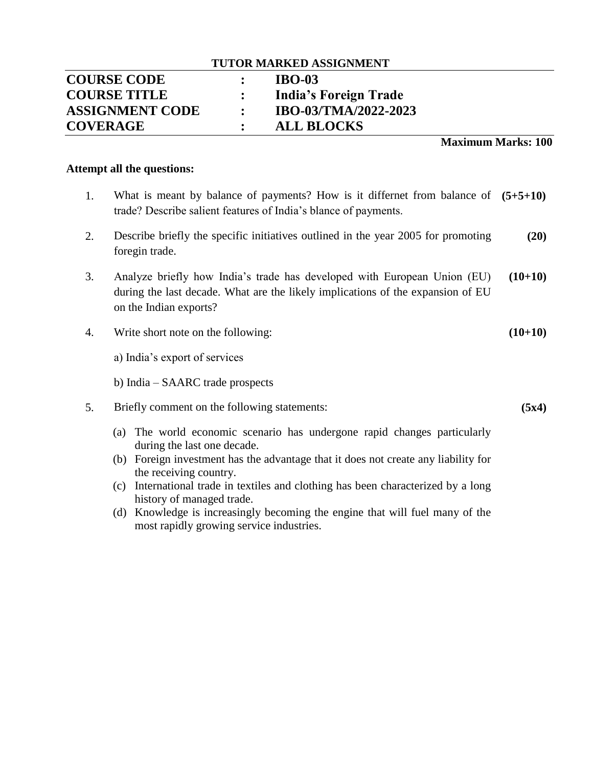| <b>TUTOR MARKED ASSIGNMENT</b> |                      |                       |  |  |
|--------------------------------|----------------------|-----------------------|--|--|
| <b>COURSE CODE</b>             |                      | <b>IBO-03</b>         |  |  |
| <b>COURSE TITLE</b>            |                      | India's Foreign Trade |  |  |
| <b>ASSIGNMENT CODE</b>         | $\ddot{\phantom{0}}$ | IBO-03/TMA/2022-2023  |  |  |
| <b>COVERAGE</b>                |                      | <b>ALL BLOCKS</b>     |  |  |

**Maximum Marks: 100**

**(5x4)**

#### **Attempt all the questions:**

- 1. What is meant by balance of payments? How is it differnet from balance of **(5+5+10)** trade? Describe salient features of India"s blance of payments.
- 2. Describe briefly the specific initiatives outlined in the year 2005 for promoting foregin trade. **(20)**
- 3. Analyze briefly how India"s trade has developed with European Union (EU) during the last decade. What are the likely implications of the expansion of EU on the Indian exports? **(10+10)**
- 4. Write short note on the following: **(10+10)**

a) India"s export of services

- b) India SAARC trade prospects
- 5. Briefly comment on the following statements:
	- (a) The world economic scenario has undergone rapid changes particularly during the last one decade.
	- (b) Foreign investment has the advantage that it does not create any liability for the receiving country.
	- (c) International trade in textiles and clothing has been characterized by a long history of managed trade.
	- (d) Knowledge is increasingly becoming the engine that will fuel many of the most rapidly growing service industries.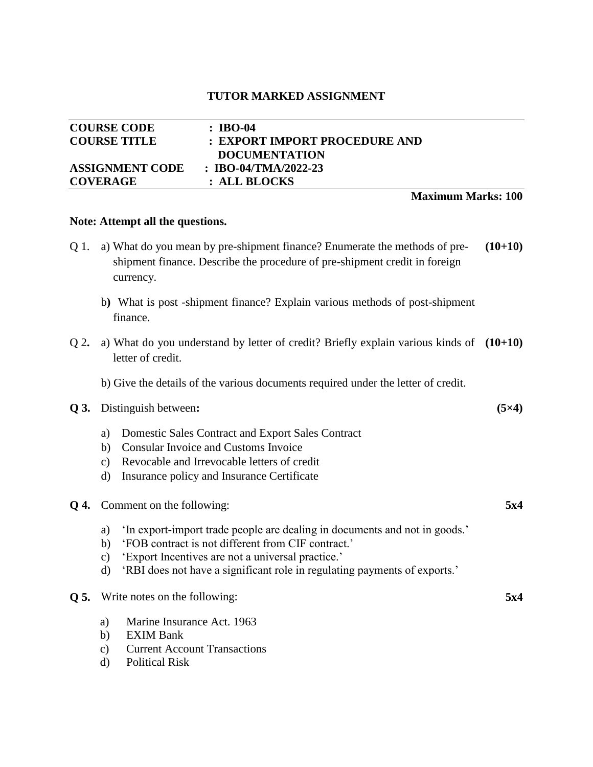|                        | <b>Maximum Marks: 100</b>     |
|------------------------|-------------------------------|
| <b>COVERAGE</b>        | : ALL BLOCKS                  |
| <b>ASSIGNMENT CODE</b> | : IBO-04/TMA/2022-23          |
|                        | <b>DOCUMENTATION</b>          |
| <b>COURSE TITLE</b>    | : EXPORT IMPORT PROCEDURE AND |
| <b>COURSE CODE</b>     | : IBO-04                      |

#### **Note: Attempt all the questions.**

| 01. | a) What do you mean by pre-shipment finance? Enumerate the methods of pre- | $(10+10)$ |
|-----|----------------------------------------------------------------------------|-----------|
|     | shipment finance. Describe the procedure of pre-shipment credit in foreign |           |
|     | currency.                                                                  |           |
|     |                                                                            |           |

- b**)** What is post -shipment finance? Explain various methods of post-shipment finance.
- Q 2**.** a) What do you understand by letter of credit? Briefly explain various kinds of **(10+10)** letter of credit.

**(5×4)**

**5x4**

**5x4**

b) Give the details of the various documents required under the letter of credit.

#### **Q 3.** Distinguish between**:**

- a) Domestic Sales Contract and Export Sales Contract
- b) Consular Invoice and Customs Invoice
- c) Revocable and Irrevocable letters of credit
- d) Insurance policy and Insurance Certificate

| <b>Q 4.</b> Comment on the following: |
|---------------------------------------|
|                                       |

- a) 'In export-import trade people are dealing in documents and not in goods.'
- b) 'FOB contract is not different from CIF contract.'
- c) "Export Incentives are not a universal practice."
- d) "RBI does not have a significant role in regulating payments of exports."

### **Q 5.** Write notes on the following:

- a) Marine Insurance Act. 1963
- b) EXIM Bank
- c) Current Account Transactions
- d) Political Risk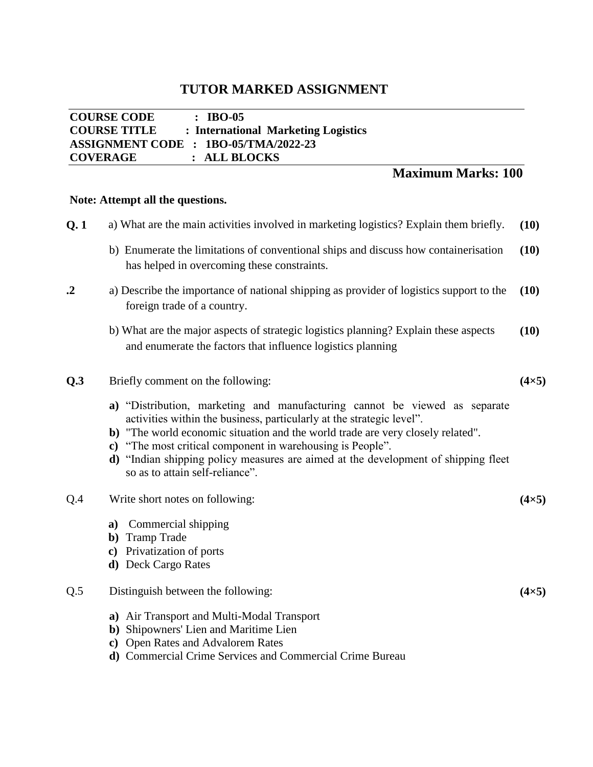## **COURSE CODE : IBO-05 COURSE TITLE : International Marketing Logistics ASSIGNMENT CODE : 1BO-05/TMA/2022-23 COVERAGE : ALL BLOCKS**

## **Maximum Marks: 100**

### **Note: Attempt all the questions.**

- **Q. 1** a) What are the main activities involved in marketing logistics? Explain them briefly. **(10)**
	- b) Enumerate the limitations of conventional ships and discuss how containerisation has helped in overcoming these constraints. **(10)**
- **.2** a) Describe the importance of national shipping as provider of logistics support to the foreign trade of a country. **(10)**
	- b) What are the major aspects of strategic logistics planning? Explain these aspects and enumerate the factors that influence logistics planning **(10)**

## **Q.3** Briefly comment on the following:

- **a)** "Distribution, marketing and manufacturing cannot be viewed as separate activities within the business, particularly at the strategic level".
- **b)** "The world economic situation and the world trade are very closely related".
- **c)** "The most critical component in warehousing is People".
- **d)** "Indian shipping policy measures are aimed at the development of shipping fleet so as to attain self-reliance".

#### Q.4 Write short notes on following:

- **a)** Commercial shipping
- **b)** Tramp Trade
- **c)** Privatization of ports
- **d)** Deck Cargo Rates

### Q.5 Distinguish between the following:

- **a)** Air Transport and Multi-Modal Transport
- **b)** Shipowners' Lien and Maritime Lien
- **c)** Open Rates and Advalorem Rates
- **d)** Commercial Crime Services and Commercial Crime Bureau

## **(4×5)**

**(4×5)**

**(4×5)**